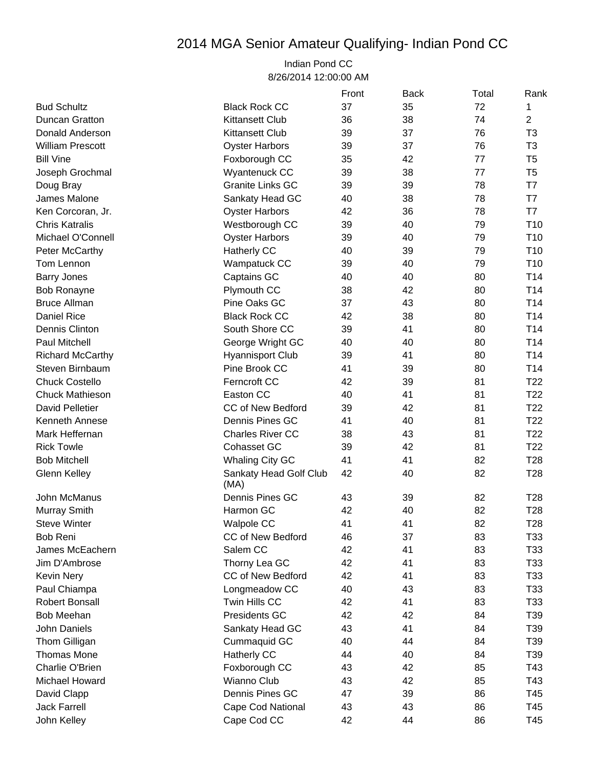## 2014 MGA Senior Amateur Qualifying- Indian Pond CC

## Indian Pond CC 8/26/2014 12:00:00 AM

|                         |                                | Front | <b>Back</b> | Total | Rank            |
|-------------------------|--------------------------------|-------|-------------|-------|-----------------|
| <b>Bud Schultz</b>      | <b>Black Rock CC</b>           | 37    | 35          | 72    | 1               |
| <b>Duncan Gratton</b>   | <b>Kittansett Club</b>         | 36    | 38          | 74    | $\overline{2}$  |
| Donald Anderson         | <b>Kittansett Club</b>         | 39    | 37          | 76    | T <sub>3</sub>  |
| <b>William Prescott</b> | <b>Oyster Harbors</b>          | 39    | 37          | 76    | T <sub>3</sub>  |
| <b>Bill Vine</b>        | Foxborough CC                  | 35    | 42          | 77    | T <sub>5</sub>  |
| Joseph Grochmal         | Wyantenuck CC                  | 39    | 38          | 77    | T <sub>5</sub>  |
| Doug Bray               | <b>Granite Links GC</b>        | 39    | 39          | 78    | T7              |
| James Malone            | Sankaty Head GC                | 40    | 38          | 78    | T7              |
| Ken Corcoran, Jr.       | <b>Oyster Harbors</b>          | 42    | 36          | 78    | T7              |
| <b>Chris Katralis</b>   | Westborough CC                 | 39    | 40          | 79    | T <sub>10</sub> |
| Michael O'Connell       | <b>Oyster Harbors</b>          | 39    | 40          | 79    | T <sub>10</sub> |
| Peter McCarthy          | Hatherly CC                    | 40    | 39          | 79    | T <sub>10</sub> |
| Tom Lennon              | Wampatuck CC                   | 39    | 40          | 79    | T <sub>10</sub> |
| <b>Barry Jones</b>      | Captains GC                    | 40    | 40          | 80    | T <sub>14</sub> |
| <b>Bob Ronayne</b>      | Plymouth CC                    | 38    | 42          | 80    | T14             |
| <b>Bruce Allman</b>     | Pine Oaks GC                   | 37    | 43          | 80    | T14             |
| <b>Daniel Rice</b>      | <b>Black Rock CC</b>           | 42    | 38          | 80    | T14             |
| Dennis Clinton          | South Shore CC                 | 39    | 41          | 80    | T <sub>14</sub> |
| <b>Paul Mitchell</b>    | George Wright GC               | 40    | 40          | 80    | T <sub>14</sub> |
| <b>Richard McCarthy</b> | <b>Hyannisport Club</b>        | 39    | 41          | 80    | T <sub>14</sub> |
| Steven Birnbaum         | Pine Brook CC                  | 41    | 39          | 80    | T <sub>14</sub> |
| <b>Chuck Costello</b>   | Ferncroft CC                   | 42    | 39          | 81    | T <sub>22</sub> |
| <b>Chuck Mathieson</b>  | Easton CC                      | 40    | 41          | 81    | T <sub>22</sub> |
| <b>David Pelletier</b>  | <b>CC of New Bedford</b>       | 39    | 42          | 81    | T <sub>22</sub> |
| Kenneth Annese          | Dennis Pines GC                | 41    | 40          | 81    | T <sub>22</sub> |
| Mark Heffernan          | <b>Charles River CC</b>        | 38    | 43          | 81    | T <sub>22</sub> |
| <b>Rick Towle</b>       | <b>Cohasset GC</b>             | 39    | 42          | 81    | T <sub>22</sub> |
| <b>Bob Mitchell</b>     | <b>Whaling City GC</b>         | 41    | 41          | 82    | T <sub>28</sub> |
| <b>Glenn Kelley</b>     | Sankaty Head Golf Club<br>(MA) | 42    | 40          | 82    | T <sub>28</sub> |
| John McManus            | Dennis Pines GC                | 43    | 39          | 82    | T <sub>28</sub> |
| Murray Smith            | Harmon GC                      | 42    | 40          | 82    | T <sub>28</sub> |
| <b>Steve Winter</b>     | <b>Walpole CC</b>              | 41    | 41          | 82    | T <sub>28</sub> |
| Bob Reni                | <b>CC of New Bedford</b>       | 46    | 37          | 83    | T33             |
| James McEachern         | Salem CC                       | 42    | 41          | 83    | T33             |
| Jim D'Ambrose           | Thorny Lea GC                  | 42    | 41          | 83    | T33             |
| Kevin Nery              | CC of New Bedford              | 42    | 41          | 83    | T33             |
| Paul Chiampa            | Longmeadow CC                  | 40    | 43          | 83    | T33             |
| <b>Robert Bonsall</b>   | Twin Hills CC                  | 42    | 41          | 83    | T33             |
| Bob Meehan              | Presidents GC                  | 42    | 42          | 84    | T39             |
| John Daniels            | Sankaty Head GC                | 43    | 41          | 84    | T39             |
| Thom Gilligan           | Cummaquid GC                   | 40    | 44          | 84    | T39             |
| <b>Thomas Mone</b>      | Hatherly CC                    | 44    | 40          | 84    | T39             |
| Charlie O'Brien         | Foxborough CC                  | 43    | 42          | 85    | T43             |
| Michael Howard          | Wianno Club                    | 43    | 42          | 85    | T43             |
| David Clapp             | Dennis Pines GC                | 47    | 39          | 86    | T45             |
| <b>Jack Farrell</b>     | Cape Cod National              | 43    | 43          | 86    | T45             |
| John Kelley             | Cape Cod CC                    | 42    | 44          | 86    | T45             |